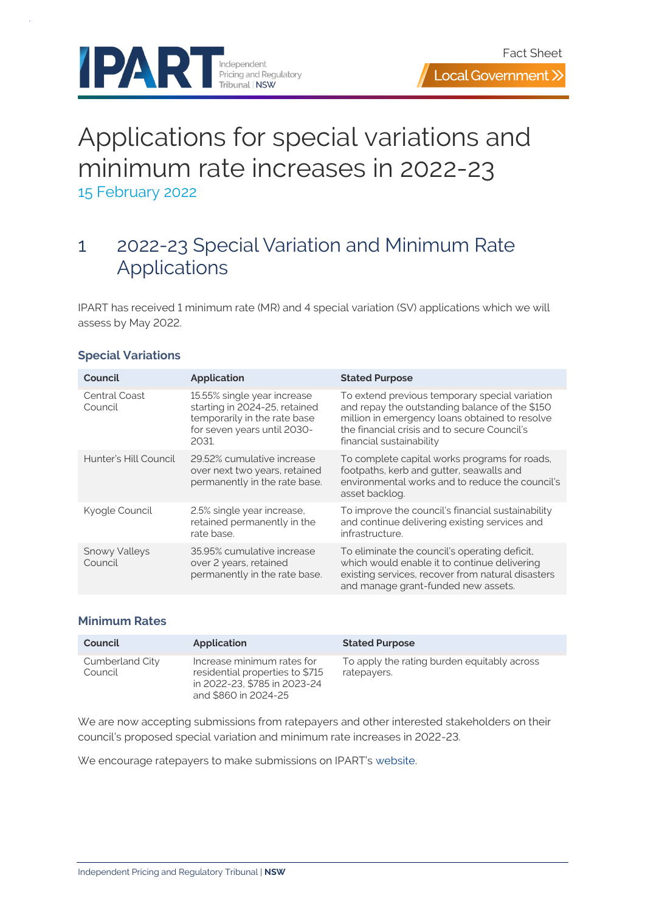

# Applications for special variations and minimum rate increases in 2022-23 15 February 2022

### 1 2022-23 Special Variation and Minimum Rate Applications

IPART has received 1 minimum rate (MR) and 4 special variation (SV) applications which we will assess by May 2022.

| Council                         | <b>Application</b>                                                                                                                   | <b>Stated Purpose</b>                                                                                                                                                                                                          |
|---------------------------------|--------------------------------------------------------------------------------------------------------------------------------------|--------------------------------------------------------------------------------------------------------------------------------------------------------------------------------------------------------------------------------|
| Central Coast<br>Council        | 15.55% single year increase<br>starting in 2024-25, retained<br>temporarily in the rate base<br>for seven years until 2030-<br>2031. | To extend previous temporary special variation<br>and repay the outstanding balance of the \$150<br>million in emergency loans obtained to resolve<br>the financial crisis and to secure Council's<br>financial sustainability |
| Hunter's Hill Council           | 29.52% cumulative increase<br>over next two years, retained<br>permanently in the rate base.                                         | To complete capital works programs for roads,<br>footpaths, kerb and gutter, seawalls and<br>environmental works and to reduce the council's<br>asset backlog.                                                                 |
| Kyogle Council                  | 2.5% single year increase,<br>retained permanently in the<br>rate base.                                                              | To improve the council's financial sustainability<br>and continue delivering existing services and<br>infrastructure.                                                                                                          |
| <b>Snowy Valleys</b><br>Council | 35.95% cumulative increase<br>over 2 years, retained<br>permanently in the rate base.                                                | To eliminate the council's operating deficit,<br>which would enable it to continue delivering<br>existing services, recover from natural disasters<br>and manage grant-funded new assets.                                      |

#### **Special Variations**

#### **Minimum Rates**

| Council                    | Application                                                                                                           | <b>Stated Purpose</b>                                      |
|----------------------------|-----------------------------------------------------------------------------------------------------------------------|------------------------------------------------------------|
| Cumberland City<br>Council | Increase minimum rates for<br>residential properties to \$715<br>in 2022-23, \$785 in 2023-24<br>and \$860 in 2024-25 | To apply the rating burden equitably across<br>ratepayers. |

We are now accepting submissions from ratepayers and other interested stakeholders on their council's proposed special variation and minimum rate increases in 2022-23.

We encourage ratepayers to make submissions on IPART's [website.](https://www.ipart.nsw.gov.au/Home/Industries/Local-Government/Reviews/Special-Variations-Minimum-Rates/Special-Variations-Minimum-Rates-2022-23)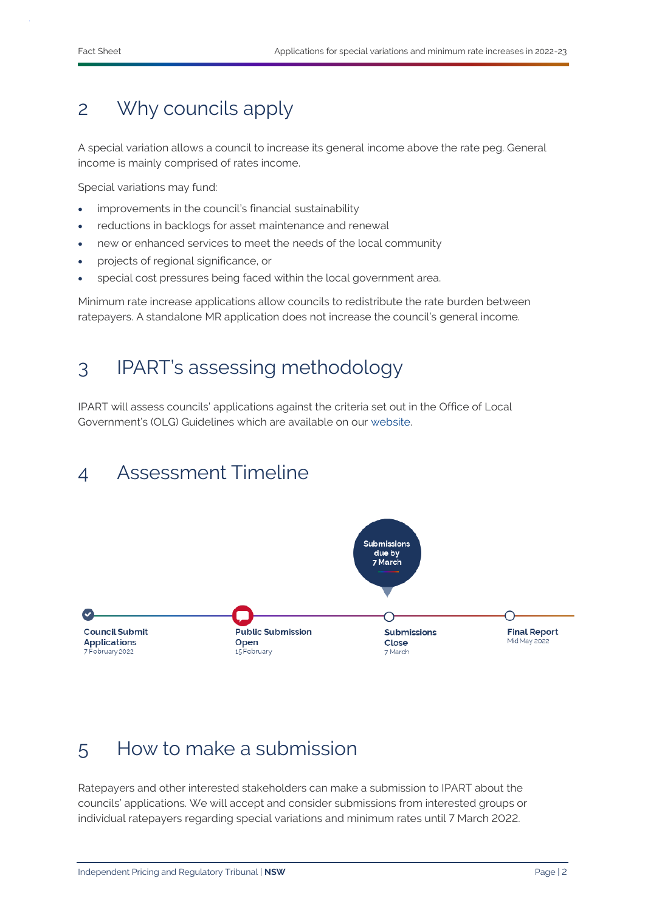### 2 Why councils apply

A special variation allows a council to increase its general income above the rate peg. General income is mainly comprised of rates income.

Special variations may fund:

- improvements in the council's financial sustainability
- reductions in backlogs for asset maintenance and renewal
- new or enhanced services to meet the needs of the local community
- projects of regional significance, or
- special cost pressures being faced within the local government area.

Minimum rate increase applications allow councils to redistribute the rate burden between ratepayers. A standalone MR application does not increase the council's general income.

### 3 IPART's assessing methodology

IPART will assess councils' applications against the criteria set out in the Office of Local Government's (OLG) Guidelines which are available on our [website.](https://www.ipart.nsw.gov.au/Home/Industries/Local-Government/For-Councils/Apply-for-a-special-variation-or-minimum-rate-increase)

## 4 Assessment Timeline



#### 5 How to make a submission

Ratepayers and other interested stakeholders can make a submission to IPART about the councils' applications. We will accept and consider submissions from interested groups or individual ratepayers regarding special variations and minimum rates until 7 March 2022.